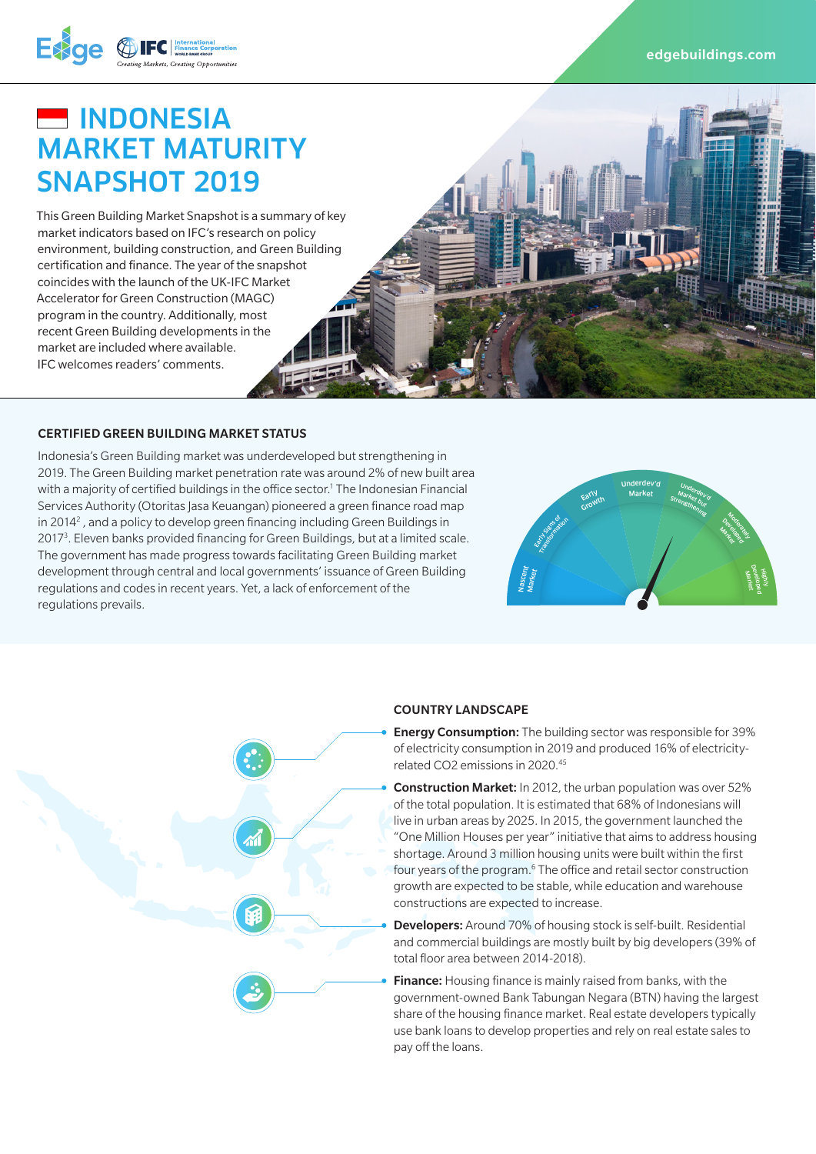



Exge @

This Green Building Market Snapshot is a summary of key market indicators based on IFC's research on policy environment, building construction, and Green Building certification and finance. The year of the snapshot coincides with the launch of the UK-IFC Market Accelerator for Green Construction (MAGC) program in the country. Additionally, most recent Green Building developments in the market are included where available. IFC welcomes readers' comments.

CERTIFIED GREEN BUILDING MARKET STATUS<br>
Indonesia's Green Building market was underdeveloped but strengthening in<br>
2019. The Green Building market penetration rate was around 2% of new built area<br>
with a majority of certif Indonesia's Green Building market was underdeveloped but strengthening in 2019. The Green Building market penetration rate was around 2% of new built area Services Authority (Otoritas Jasa Keuangan) pioneered a green finance road map in 2014<sup>2</sup>, and a policy to develop green financing including Green Buildings in 2017<sup>3</sup>. Eleven banks provided financing for Green Buildings, but at a limited scale. The government has made progress towards facilitating Green Building market development through central and local governments' issuance of Green Building regulations and codes in recent years. Yet, a lack of enforcement of the regulations prevails.





#### COUNTRY LANDSCAPE

• Energy Consumption: The building sector was responsible for 39% of electricity consumption in 2019 and produced 16% of electricityrelated CO2 emissions in 2020.45

• Construction Market: In 2012, the urban population was over 52% of the total population. It is estimated that 68% of Indonesians will live in urban areas by 2025. In 2015, the government launched the "One Million Houses per year" initiative that aims to address housing shortage. Around 3 million housing units were built within the first four years of the program.<sup>6</sup> The office and retail sector construction growth are expected to be stable, while education and warehouse constructions are expected to increase.

**Developers:** Around 70% of housing stock is self-built. Residential and commercial buildings are mostly built by big developers (39% of total floor area between 2014-2018).

**Finance:** Housing finance is mainly raised from banks, with the government-owned Bank Tabungan Negara (BTN) having the largest share of the housing finance market. Real estate developers typically use bank loans to develop properties and rely on real estate sales to pay off the loans.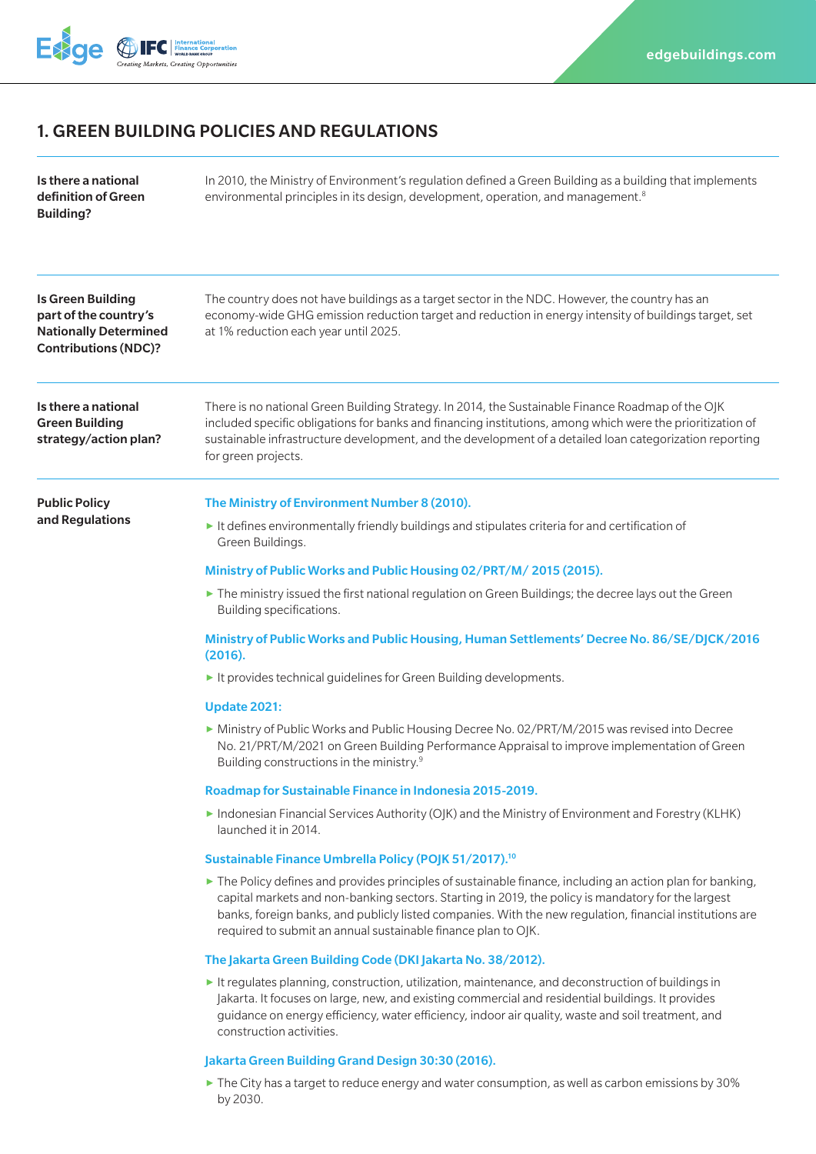

# 1. GREEN BUILDING POLICIES AND REGULATIONS

| Is there a national<br>definition of Green<br><b>Building?</b>                                                   | In 2010, the Ministry of Environment's regulation defined a Green Building as a building that implements<br>environmental principles in its design, development, operation, and management. <sup>8</sup>                                                                                                                                                                                                     |
|------------------------------------------------------------------------------------------------------------------|--------------------------------------------------------------------------------------------------------------------------------------------------------------------------------------------------------------------------------------------------------------------------------------------------------------------------------------------------------------------------------------------------------------|
| <b>Is Green Building</b><br>part of the country's<br><b>Nationally Determined</b><br><b>Contributions (NDC)?</b> | The country does not have buildings as a target sector in the NDC. However, the country has an<br>economy-wide GHG emission reduction target and reduction in energy intensity of buildings target, set<br>at 1% reduction each year until 2025.                                                                                                                                                             |
| Is there a national<br><b>Green Building</b><br>strategy/action plan?                                            | There is no national Green Building Strategy. In 2014, the Sustainable Finance Roadmap of the OJK<br>included specific obligations for banks and financing institutions, among which were the prioritization of<br>sustainable infrastructure development, and the development of a detailed loan categorization reporting<br>for green projects.                                                            |
| <b>Public Policy</b><br>and Regulations                                                                          | The Ministry of Environment Number 8 (2010).                                                                                                                                                                                                                                                                                                                                                                 |
|                                                                                                                  | It defines environmentally friendly buildings and stipulates criteria for and certification of<br>Green Buildings.                                                                                                                                                                                                                                                                                           |
|                                                                                                                  | Ministry of Public Works and Public Housing 02/PRT/M/2015 (2015).                                                                                                                                                                                                                                                                                                                                            |
|                                                                                                                  | The ministry issued the first national regulation on Green Buildings; the decree lays out the Green<br>Building specifications.                                                                                                                                                                                                                                                                              |
|                                                                                                                  | Ministry of Public Works and Public Housing, Human Settlements' Decree No. 86/SE/DJCK/2016<br>(2016).                                                                                                                                                                                                                                                                                                        |
|                                                                                                                  | It provides technical guidelines for Green Building developments.                                                                                                                                                                                                                                                                                                                                            |
|                                                                                                                  | <b>Update 2021:</b>                                                                                                                                                                                                                                                                                                                                                                                          |
|                                                                                                                  | Ministry of Public Works and Public Housing Decree No. 02/PRT/M/2015 was revised into Decree<br>No. 21/PRT/M/2021 on Green Building Performance Appraisal to improve implementation of Green<br>Building constructions in the ministry. <sup>9</sup>                                                                                                                                                         |
|                                                                                                                  | Roadmap for Sustainable Finance in Indonesia 2015-2019.                                                                                                                                                                                                                                                                                                                                                      |
|                                                                                                                  | Indonesian Financial Services Authority (OJK) and the Ministry of Environment and Forestry (KLHK)<br>launched it in 2014.                                                                                                                                                                                                                                                                                    |
|                                                                                                                  | Sustainable Finance Umbrella Policy (POJK 51/2017). <sup>10</sup>                                                                                                                                                                                                                                                                                                                                            |
|                                                                                                                  | $\triangleright$ The Policy defines and provides principles of sustainable finance, including an action plan for banking,<br>capital markets and non-banking sectors. Starting in 2019, the policy is mandatory for the largest<br>banks, foreign banks, and publicly listed companies. With the new regulation, financial institutions are<br>required to submit an annual sustainable finance plan to OJK. |
|                                                                                                                  | The Jakarta Green Building Code (DKI Jakarta No. 38/2012).                                                                                                                                                                                                                                                                                                                                                   |
|                                                                                                                  | It regulates planning, construction, utilization, maintenance, and deconstruction of buildings in<br>Jakarta. It focuses on large, new, and existing commercial and residential buildings. It provides<br>guidance on energy efficiency, water efficiency, indoor air quality, waste and soil treatment, and<br>construction activities.                                                                     |
|                                                                                                                  | Jakarta Green Building Grand Design 30:30 (2016).                                                                                                                                                                                                                                                                                                                                                            |
|                                                                                                                  | $\triangleright$ The City has a target to reduce energy and water consumption, as well as carbon emissions by 30%<br>by 2030.                                                                                                                                                                                                                                                                                |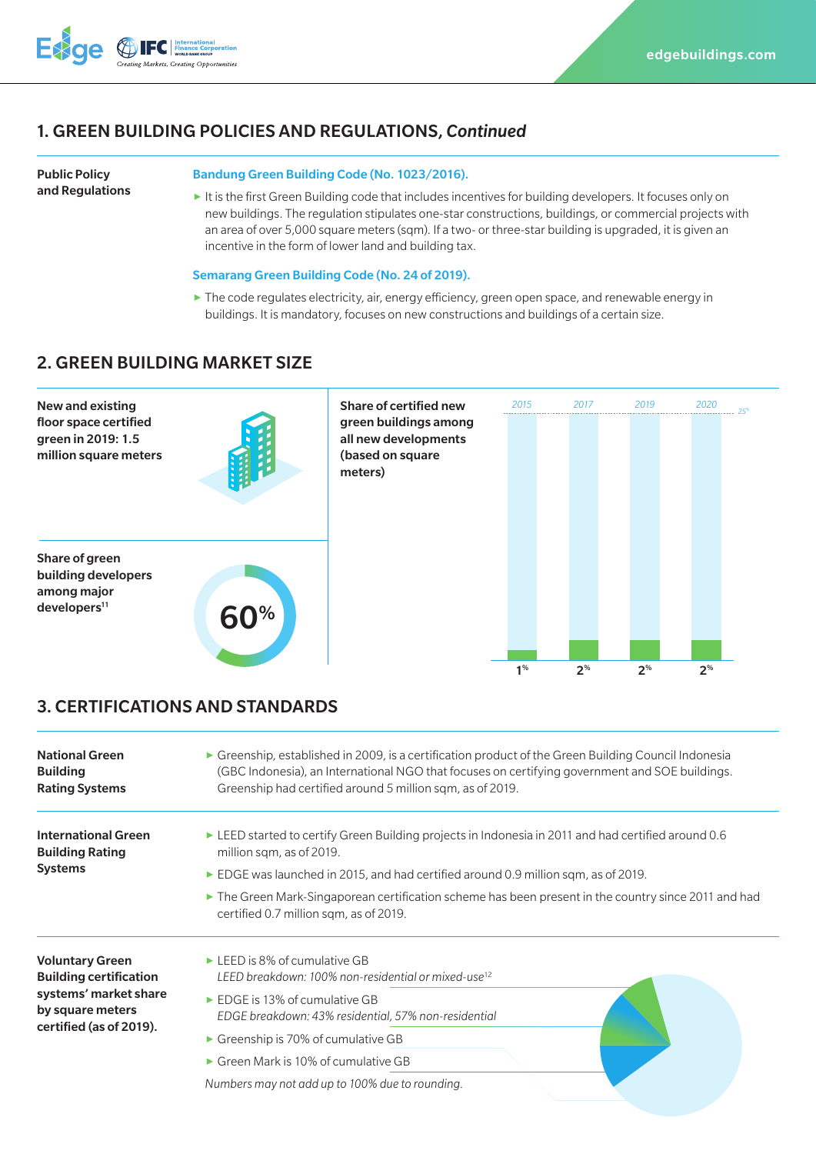

## 1. GREEN BUILDING POLICIES AND REGULATIONS, *Continued*

```
Public Policy 
and Regulations
```
#### Bandung Green Building Code (No. 1023/2016).

**▶** It is the first Green Building code that includes incentives for building developers. It focuses only on new buildings. The regulation stipulates one-star constructions, buildings, or commercial projects with an area of over 5,000 square meters (sqm). If a two- or three-star building is upgraded, it is given an incentive in the form of lower land and building tax.

#### Semarang Green Building Code (No. 24 of 2019).

**▶** The code regulates electricity, air, energy efficiency, green open space, and renewable energy in buildings. It is mandatory, focuses on new constructions and buildings of a certain size.

### 2. GREEN BUILDING MARKET SIZE



## 3. CERTIFICATIONS AND STANDARDS

| <b>National Green</b><br><b>Building</b><br><b>Rating Systems</b>                                                               | $\triangleright$ Greenship, established in 2009, is a certification product of the Green Building Council Indonesia<br>(GBC Indonesia), an International NGO that focuses on certifying government and SOE buildings.<br>Greenship had certified around 5 million sqm, as of 2019.                                                                                                       |
|---------------------------------------------------------------------------------------------------------------------------------|------------------------------------------------------------------------------------------------------------------------------------------------------------------------------------------------------------------------------------------------------------------------------------------------------------------------------------------------------------------------------------------|
| <b>International Green</b><br><b>Building Rating</b><br><b>Systems</b>                                                          | $\triangleright$ LEED started to certify Green Building projects in Indonesia in 2011 and had certified around 0.6<br>million sqm, as of 2019.<br>EDGE was launched in 2015, and had certified around 0.9 million sqm, as of 2019.                                                                                                                                                       |
|                                                                                                                                 | • The Green Mark-Singaporean certification scheme has been present in the country since 2011 and had<br>certified 0.7 million sqm, as of 2019.                                                                                                                                                                                                                                           |
| <b>Voluntary Green</b><br><b>Building certification</b><br>systems' market share<br>by square meters<br>certified (as of 2019). | $\triangleright$ LEED is 8% of cumulative GB<br>LEED breakdown: 100% non-residential or mixed-use <sup>12</sup><br>$\triangleright$ EDGE is 13% of cumulative GB<br>EDGE breakdown: 43% residential, 57% non-residential<br>$\triangleright$ Greenship is 70% of cumulative GB<br>$\triangleright$ Green Mark is 10% of cumulative GB<br>Numbers may not add up to 100% due to rounding. |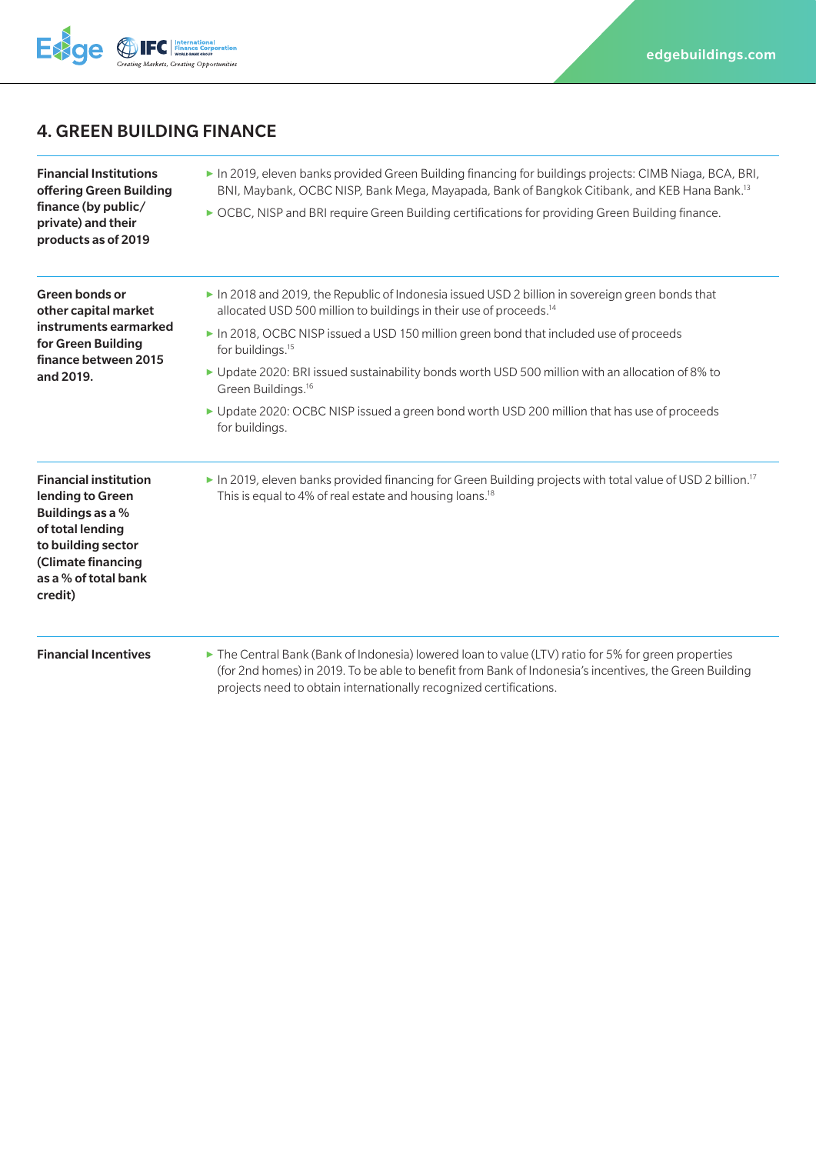

# 4. GREEN BUILDING FINANCE

Financial Institutions offering Green Building finance (by public/ private) and their products as of 2019 **▶** In 2019, eleven banks provided Green Building financing for buildings projects: CIMB Niaga, BCA, BRI, BNI, Maybank, OCBC NISP, Bank Mega, Mayapada, Bank of Bangkok Citibank, and KEB Hana Bank.13 ▶ OCBC, NISP and BRI require Green Building certifications for providing Green Building finance. Green bonds or other capital market instruments earmarked for Green Building finance between 2015 and 2019. ▶ In 2018 and 2019, the Republic of Indonesia issued USD 2 billion in sovereign green bonds that allocated USD 500 million to buildings in their use of proceeds.<sup>14</sup> **▶** In 2018, OCBC NISP issued a USD 150 million green bond that included use of proceeds for buildings.<sup>15</sup> **▶** Update 2020: BRI issued sustainability bonds worth USD 500 million with an allocation of 8% to Green Buildings.16 **▶** Update 2020: OCBC NISP issued a green bond worth USD 200 million that has use of proceeds for buildings. Financial institution lending to Green Buildings as a % of total lending to building sector (Climate financing as a % of total bank credit) ▶ In 2019, eleven banks provided financing for Green Building projects with total value of USD 2 billion.<sup>17</sup> This is equal to 4% of real estate and housing loans.<sup>18</sup> **Financial Incentives ▶** The Central Bank (Bank of Indonesia) lowered loan to value (LTV) ratio for 5% for green properties (for 2nd homes) in 2019. To be able to benefit from Bank of Indonesia's incentives, the Green Building

projects need to obtain internationally recognized certifications.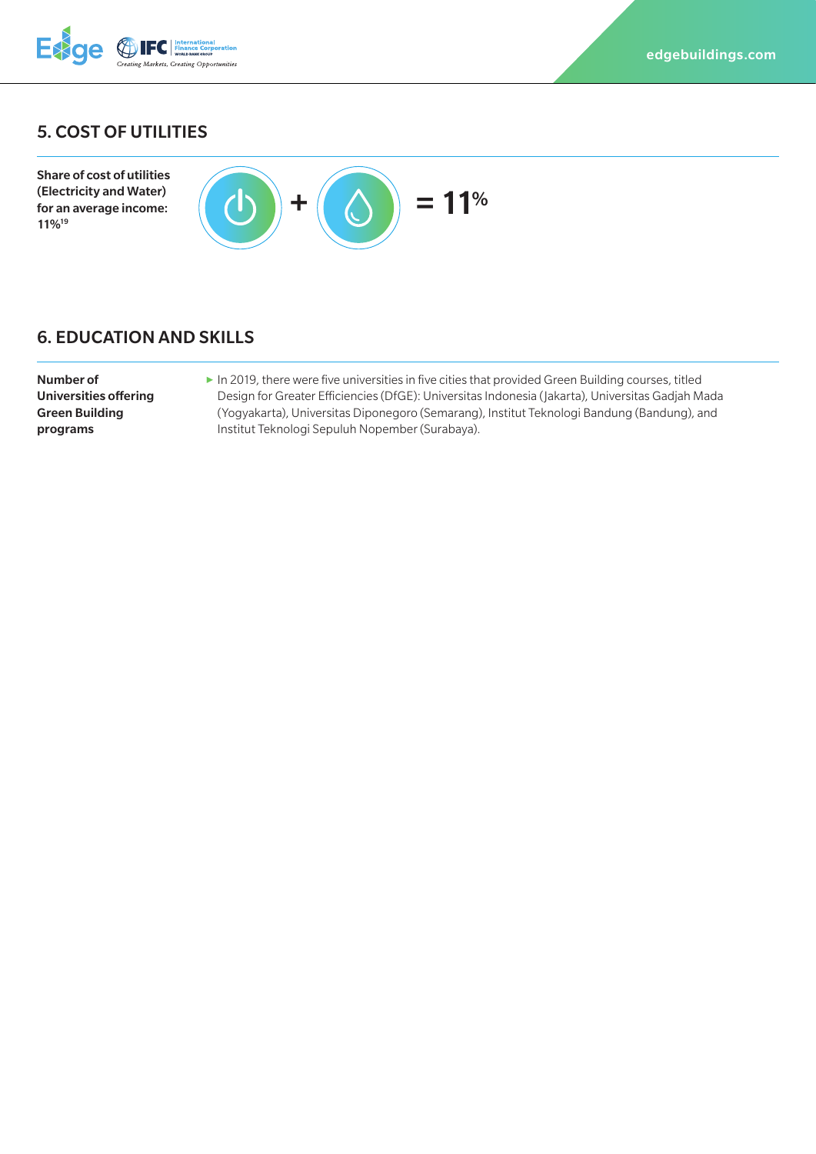

# 5. COST OF UTILITIES



# 6. EDUCATION AND SKILLS

| Number of             |
|-----------------------|
| Universities offering |
| Green Buildina        |
| programs              |

11%19

▶ In 2019, there were five universities in five cities that provided Green Building courses, titled Design for Greater Efficiencies (DfGE): Universitas Indonesia (Jakarta), Universitas Gadjah Mada (Yogyakarta), Universitas Diponegoro (Semarang), Institut Teknologi Bandung (Bandung), and Institut Teknologi Sepuluh Nopember (Surabaya).